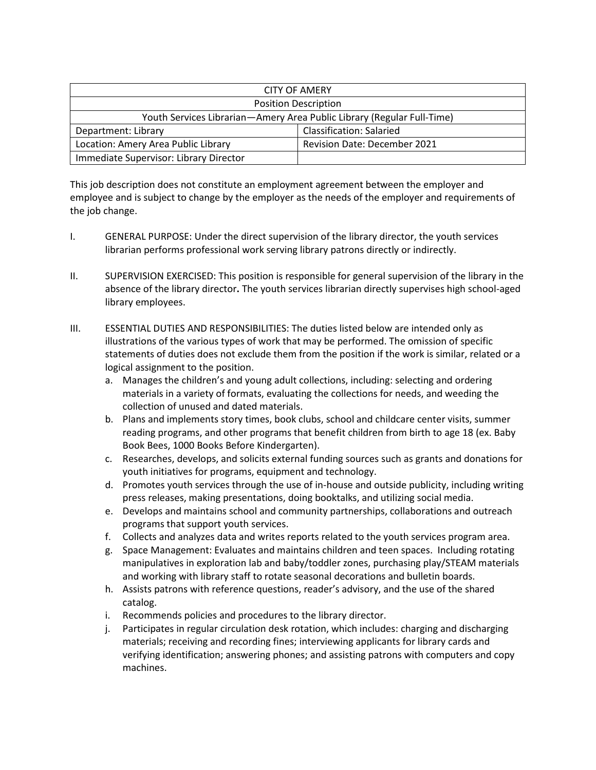| <b>CITY OF AMERY</b>                                                   |                                     |
|------------------------------------------------------------------------|-------------------------------------|
| <b>Position Description</b>                                            |                                     |
| Youth Services Librarian-Amery Area Public Library (Regular Full-Time) |                                     |
| Department: Library                                                    | <b>Classification: Salaried</b>     |
| Location: Amery Area Public Library                                    | <b>Revision Date: December 2021</b> |
| Immediate Supervisor: Library Director                                 |                                     |

This job description does not constitute an employment agreement between the employer and employee and is subject to change by the employer as the needs of the employer and requirements of the job change.

- I. GENERAL PURPOSE: Under the direct supervision of the library director, the youth services librarian performs professional work serving library patrons directly or indirectly.
- II. SUPERVISION EXERCISED: This position is responsible for general supervision of the library in the absence of the library director**.** The youth services librarian directly supervises high school-aged library employees.
- III. ESSENTIAL DUTIES AND RESPONSIBILITIES: The duties listed below are intended only as illustrations of the various types of work that may be performed. The omission of specific statements of duties does not exclude them from the position if the work is similar, related or a logical assignment to the position.
	- a. Manages the children's and young adult collections, including: selecting and ordering materials in a variety of formats, evaluating the collections for needs, and weeding the collection of unused and dated materials.
	- b. Plans and implements story times, book clubs, school and childcare center visits, summer reading programs, and other programs that benefit children from birth to age 18 (ex. Baby Book Bees, 1000 Books Before Kindergarten).
	- c. Researches, develops, and solicits external funding sources such as grants and donations for youth initiatives for programs, equipment and technology.
	- d. Promotes youth services through the use of in-house and outside publicity, including writing press releases, making presentations, doing booktalks, and utilizing social media.
	- e. Develops and maintains school and community partnerships, collaborations and outreach programs that support youth services.
	- f. Collects and analyzes data and writes reports related to the youth services program area.
	- g. Space Management: Evaluates and maintains children and teen spaces. Including rotating manipulatives in exploration lab and baby/toddler zones, purchasing play/STEAM materials and working with library staff to rotate seasonal decorations and bulletin boards.
	- h. Assists patrons with reference questions, reader's advisory, and the use of the shared catalog.
	- i. Recommends policies and procedures to the library director.
	- j. Participates in regular circulation desk rotation, which includes: charging and discharging materials; receiving and recording fines; interviewing applicants for library cards and verifying identification; answering phones; and assisting patrons with computers and copy machines.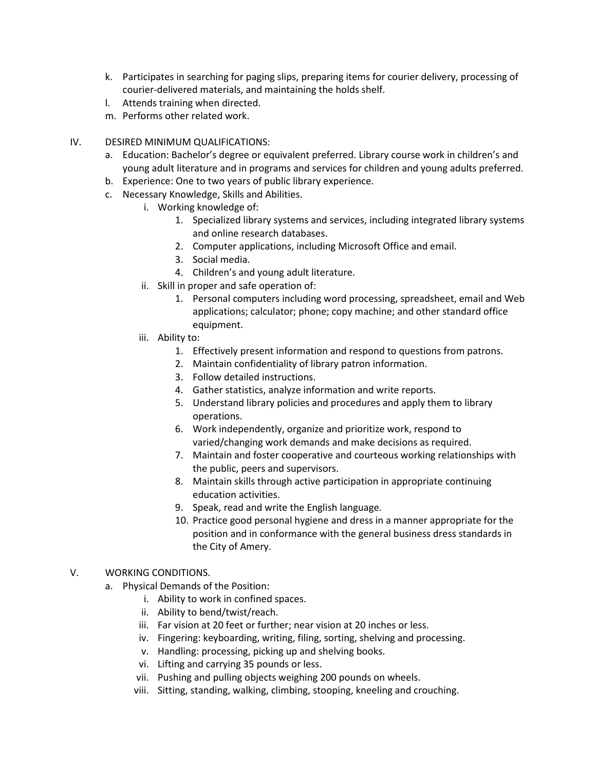- k. Participates in searching for paging slips, preparing items for courier delivery, processing of courier-delivered materials, and maintaining the holds shelf.
- l. Attends training when directed.
- m. Performs other related work.
- IV. DESIRED MINIMUM QUALIFICATIONS:
	- a. Education: Bachelor's degree or equivalent preferred. Library course work in children's and young adult literature and in programs and services for children and young adults preferred.
	- b. Experience: One to two years of public library experience.
	- c. Necessary Knowledge, Skills and Abilities.
		- i. Working knowledge of:
			- 1. Specialized library systems and services, including integrated library systems and online research databases.
			- 2. Computer applications, including Microsoft Office and email.
			- 3. Social media.
			- 4. Children's and young adult literature.
		- ii. Skill in proper and safe operation of:
			- 1. Personal computers including word processing, spreadsheet, email and Web applications; calculator; phone; copy machine; and other standard office equipment.
		- iii. Ability to:
			- 1. Effectively present information and respond to questions from patrons.
			- 2. Maintain confidentiality of library patron information.
			- 3. Follow detailed instructions.
			- 4. Gather statistics, analyze information and write reports.
			- 5. Understand library policies and procedures and apply them to library operations.
			- 6. Work independently, organize and prioritize work, respond to varied/changing work demands and make decisions as required.
			- 7. Maintain and foster cooperative and courteous working relationships with the public, peers and supervisors.
			- 8. Maintain skills through active participation in appropriate continuing education activities.
			- 9. Speak, read and write the English language.
			- 10. Practice good personal hygiene and dress in a manner appropriate for the position and in conformance with the general business dress standards in the City of Amery.
- V. WORKING CONDITIONS.
	- a. Physical Demands of the Position:
		- i. Ability to work in confined spaces.
		- ii. Ability to bend/twist/reach.
		- iii. Far vision at 20 feet or further; near vision at 20 inches or less.
		- iv. Fingering: keyboarding, writing, filing, sorting, shelving and processing.
		- v. Handling: processing, picking up and shelving books.
		- vi. Lifting and carrying 35 pounds or less.
		- vii. Pushing and pulling objects weighing 200 pounds on wheels.
		- viii. Sitting, standing, walking, climbing, stooping, kneeling and crouching.